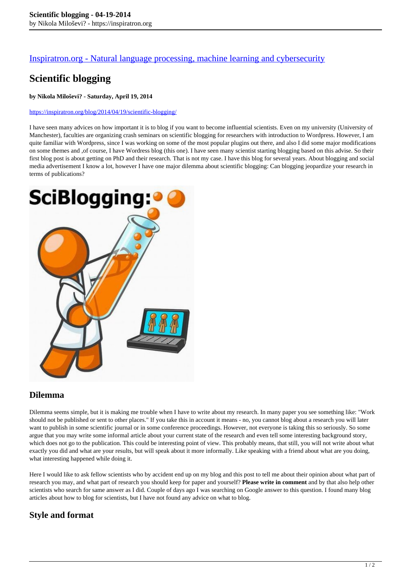## [Inspiratron.org - Natural language processing, machine learning and cybersecurity](https://inspiratron.org)

# **Scientific blogging**

#### **by Nikola Miloševi? - Saturday, April 19, 2014**

#### https://inspiratron.org/blog/2014/04/19/scientific-blogging/

I have seen many advices on how important it is to blog if you want to become influential scientists. Even on my university (University of Manchester), faculties are organizing crash seminars on scientific blogging for researchers with introduction to Wordpress. However, I am quite familiar with Wordpress, since I was working on some of the most popular plugins out there, and also I did some major modifications on some themes and ,of course, I have Wordress blog (this one). I have seen many scientist starting blogging based on this advise. So their first blog post is about getting on PhD and their research. That is not my case. I have this blog for several years. About blogging and social media advertisement I know a lot, however I have one major dilemma about scientific blogging: Can blogging jeopardize your research in terms of publications?



### **Dilemma**

Dilemma seems simple, but it is making me trouble when I have to write about my research. In many paper you see something like: "Work should not be published or sent to other places." If you take this in account it means - no, you cannot blog about a research you will later want to publish in some scientific journal or in some conference proceedings. However, not everyone is taking this so seriously. So some argue that you may write some informal article about your current state of the research and even tell some interesting background story, which does not go to the publication. This could be interesting point of view. This probably means, that still, you will not write about what exactly you did and what are your results, but will speak about it more informally. Like speaking with a friend about what are you doing, what interesting happened while doing it.

Here I would like to ask fellow scientists who by accident end up on my blog and this post to tell me about their opinion about what part of research you may, and what part of research you should keep for paper and yourself? **Please write in comment** and by that also help other scientists who search for same answer as I did. Couple of days ago I was searching on Google answer to this question. I found many blog articles about how to blog for scientists, but I have not found any advice on what to blog.

## **Style and format**